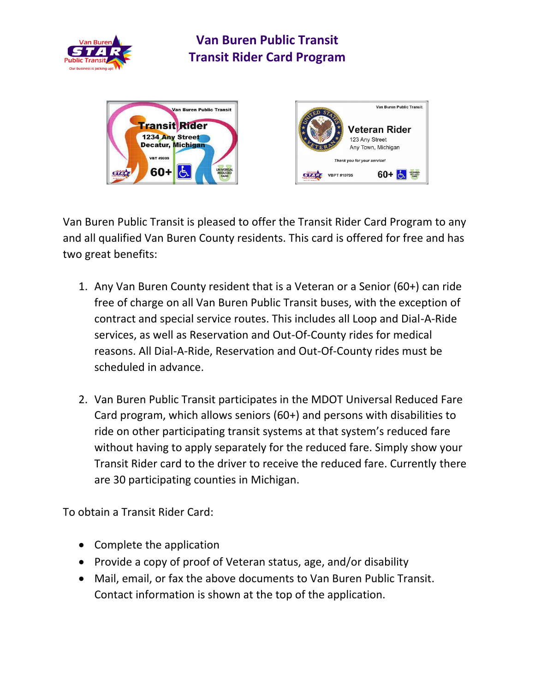

## **Van Buren Public Transit Transit Rider Card Program**





Van Buren Public Transit is pleased to offer the Transit Rider Card Program to any and all qualified Van Buren County residents. This card is offered for free and has two great benefits:

- 1. Any Van Buren County resident that is a Veteran or a Senior (60+) can ride free of charge on all Van Buren Public Transit buses, with the exception of contract and special service routes. This includes all Loop and Dial-A-Ride services, as well as Reservation and Out-Of-County rides for medical reasons. All Dial-A-Ride, Reservation and Out-Of-County rides must be scheduled in advance.
- 2. Van Buren Public Transit participates in the MDOT Universal Reduced Fare Card program, which allows seniors (60+) and persons with disabilities to ride on other participating transit systems at that system's reduced fare without having to apply separately for the reduced fare. Simply show your Transit Rider card to the driver to receive the reduced fare. Currently there are 30 participating counties in Michigan.

To obtain a Transit Rider Card:

- Complete the application
- Provide a copy of proof of Veteran status, age, and/or disability
- Mail, email, or fax the above documents to Van Buren Public Transit. Contact information is shown at the top of the application.